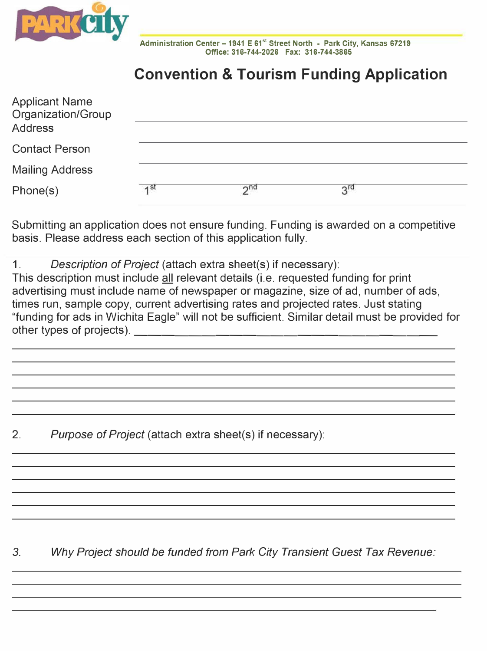

**Administration Center -1941 E 61st Street North - Park City, Kansas 67219 Office: 316-744-2026 Fax: 316-744-3865** 

## **Convention & Tourism Funding Application**

| <b>Applicant Name</b><br>Organization/Group<br><b>Address</b> |                 |                 |                 |  |
|---------------------------------------------------------------|-----------------|-----------------|-----------------|--|
| <b>Contact Person</b>                                         |                 |                 |                 |  |
| <b>Mailing Address</b>                                        |                 |                 |                 |  |
| Phone(s)                                                      | 1 <sub>st</sub> | 2 <sub>nd</sub> | $2^{\text{rd}}$ |  |

Submitting an application does not ensure funding. Funding is awarded on a competitive basis. Please address each section of this application fully.

1. *Description of Project* (attach extra sheet(s) if necessary): This description must include all relevant details (i.e. requested funding for print advertising must include name of newspaper or magazine, size of ad, number of ads, times run, sample copy, current advertising rates and projected rates. Just stating "funding for ads in Wichita Eagle" will not be sufficient. Similar detail must be provided for other types of projects).

2. *Purpose of Project* (attach extra sheet(s) if necessary):

*3. Why Project should be funded from Park City Transient Guest Tax Revenue:*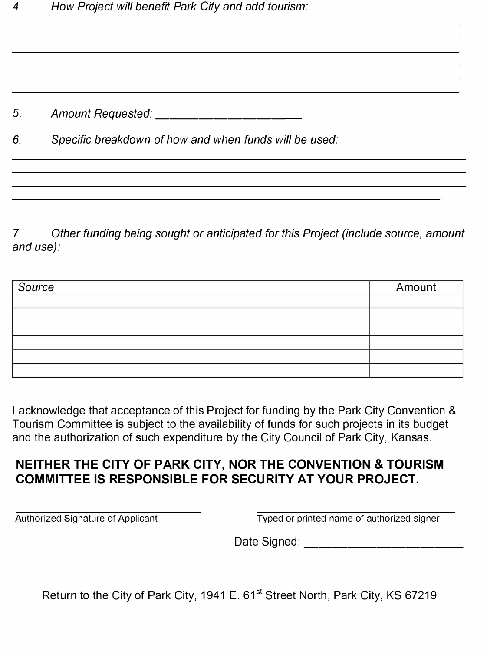5. *Amount Requested: \_\_\_\_\_\_\_\_\_ \_* 

*6. Specific breakdown of how and when funds will be used:* 

7. *Other funding being sought or anticipated for this Project (include source, amount and use):*

| Source | Amount |
|--------|--------|
|        |        |
|        |        |
|        |        |
|        |        |
|        |        |
|        |        |

I acknowledge that acceptance of this Project for funding by the Park City Convention & Tourism Committee is subject to the availability of funds for such projects in its budget and the authorization of such expenditure by the City Council of Park City, Kansas.

## **NEITHER THE CITY OF PARK CITY, NOR THE CONVENTION & TOURISM COMMITTEE IS RESPONSIBLE FOR SECURITY AT YOUR PROJECT.**

Authorized Signature of Applicant Typed or printed name of authorized signer

Date Signed: \_\_\_\_\_\_\_\_\_\_ \_

Return to the City of Park City, 1941 E. 61<sup>st</sup> Street North, Park City, KS 67219